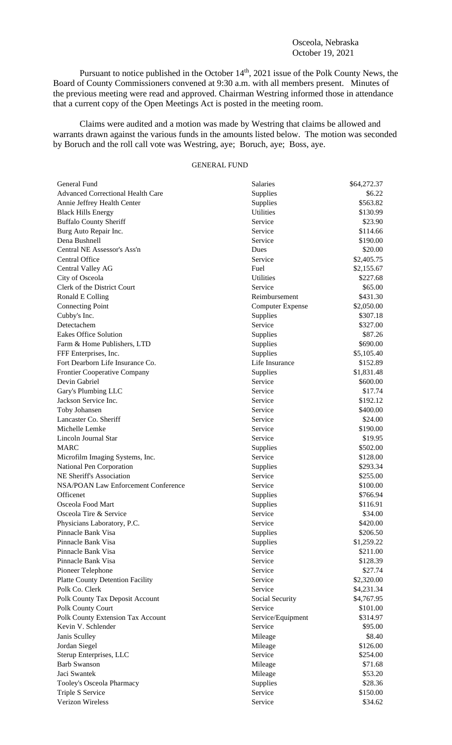## Osceola, Nebraska October 19, 2021

Pursuant to notice published in the October  $14<sup>th</sup>$ , 2021 issue of the Polk County News, the Board of County Commissioners convened at 9:30 a.m. with all members present. Minutes of the previous meeting were read and approved. Chairman Westring informed those in attendance that a current copy of the Open Meetings Act is posted in the meeting room.

Claims were audited and a motion was made by Westring that claims be allowed and warrants drawn against the various funds in the amounts listed below. The motion was seconded by Boruch and the roll call vote was Westring, aye; Boruch, aye; Boss, aye.

## GENERAL FUND

| General Fund                                   | <b>Salaries</b>         | \$64,272.37          |
|------------------------------------------------|-------------------------|----------------------|
| <b>Advanced Correctional Health Care</b>       | Supplies                | \$6.22               |
| Annie Jeffrey Health Center                    | Supplies                | \$563.82             |
| <b>Black Hills Energy</b>                      | <b>Utilities</b>        | \$130.99             |
| <b>Buffalo County Sheriff</b>                  | Service                 | \$23.90              |
| Burg Auto Repair Inc.                          | Service                 | \$114.66             |
| Dena Bushnell                                  | Service                 | \$190.00             |
| Central NE Assessor's Ass'n                    | Dues                    | \$20.00              |
| <b>Central Office</b>                          | Service                 | \$2,405.75           |
| Central Valley AG                              | Fuel                    | \$2,155.67           |
| City of Osceola                                | <b>Utilities</b>        | \$227.68             |
| Clerk of the District Court                    | Service                 | \$65.00              |
| Ronald E Colling                               | Reimbursement           | \$431.30             |
| <b>Connecting Point</b>                        | <b>Computer Expense</b> | \$2,050.00           |
| Cubby's Inc.                                   | Supplies                | \$307.18             |
| Detectachem                                    | Service                 | \$327.00             |
| <b>Eakes Office Solution</b>                   | Supplies                | \$87.26              |
| Farm & Home Publishers, LTD                    | Supplies                | \$690.00             |
| FFF Enterprises, Inc.                          | Supplies                | \$5,105.40           |
| Fort Dearborn Life Insurance Co.               | Life Insurance          | \$152.89             |
| <b>Frontier Cooperative Company</b>            | Supplies                | \$1,831.48           |
| Devin Gabriel                                  | Service                 | \$600.00             |
| Gary's Plumbing LLC                            | Service                 | \$17.74              |
| Jackson Service Inc.                           | Service                 | \$192.12             |
| Toby Johansen                                  | Service                 | \$400.00             |
| Lancaster Co. Sheriff                          | Service                 | \$24.00              |
| Michelle Lemke                                 | Service                 | \$190.00             |
| Lincoln Journal Star                           | Service                 | \$19.95              |
| <b>MARC</b>                                    | Supplies                | \$502.00             |
| Microfilm Imaging Systems, Inc.                | Service                 | \$128.00             |
| National Pen Corporation                       | Supplies                | \$293.34             |
| NE Sheriff's Association                       | Service                 | \$255.00             |
| <b>NSA/POAN Law Enforcement Conference</b>     | Service                 | \$100.00             |
| Officenet                                      | Supplies                | \$766.94             |
| Osceola Food Mart                              | Supplies                | \$116.91             |
| Osceola Tire & Service                         | Service                 | \$34.00              |
| Physicians Laboratory, P.C.                    | Service                 | \$420.00             |
| Pinnacle Bank Visa                             | Supplies                | \$206.50             |
| Pinnacle Bank Visa                             | Supplies                | \$1,259.22           |
| Pinnacle Bank Visa                             | Service                 | \$211.00             |
| Pinnacle Bank Visa                             | Service                 | \$128.39             |
| Pioneer Telephone                              | Service                 | \$27.74              |
| <b>Platte County Detention Facility</b>        | Service                 | \$2,320.00           |
| Polk Co. Clerk                                 | Service                 | \$4,231.34           |
| Polk County Tax Deposit Account                | Social Security         | \$4,767.95           |
| Polk County Court                              | Service                 | \$101.00             |
| Polk County Extension Tax Account              | Service/Equipment       | \$314.97             |
| Kevin V. Schlender                             | Service                 | \$95.00              |
|                                                |                         | \$8.40               |
| Janis Sculley                                  | Mileage                 |                      |
| Jordan Siegel                                  | Mileage<br>Service      | \$126.00<br>\$254.00 |
| Sterup Enterprises, LLC<br><b>Barb Swanson</b> |                         | \$71.68              |
| Jaci Swantek                                   | Mileage                 |                      |
|                                                | Mileage                 | \$53.20              |
| Tooley's Osceola Pharmacy                      | Supplies                | \$28.36              |
| Triple S Service<br>Verizon Wireless           | Service                 | \$150.00             |
|                                                | Service                 | \$34.62              |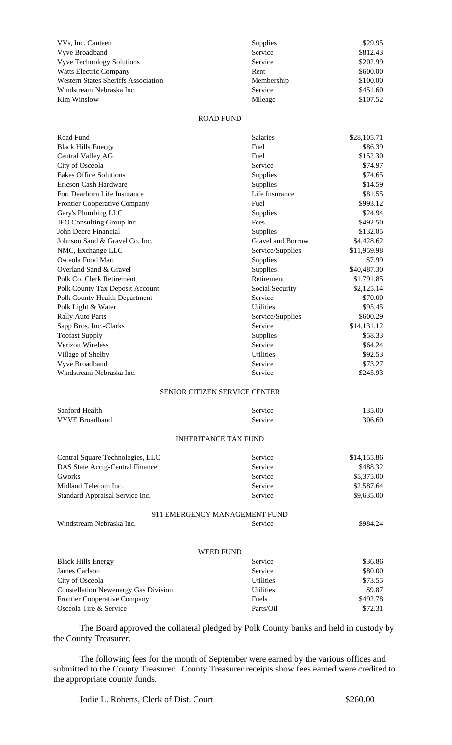| VVs, Inc. Canteen                          | Supplies   | \$29.95  |
|--------------------------------------------|------------|----------|
| Vyve Broadband                             | Service    | \$812.43 |
| <b>Vyve Technology Solutions</b>           | Service    | \$202.99 |
| <b>Watts Electric Company</b>              | Rent       | \$600.00 |
| <b>Western States Sheriffs Association</b> | Membership | \$100.00 |
| Windstream Nebraska Inc.                   | Service    | \$451.60 |
| Kim Winslow                                | Mileage    | \$107.52 |

## ROAD FUND

| Road Fund                                   | <b>Salaries</b>                      | \$28,105.71 |
|---------------------------------------------|--------------------------------------|-------------|
| <b>Black Hills Energy</b>                   | Fuel                                 | \$86.39     |
| Central Valley AG                           | Fuel                                 | \$152.30    |
| City of Osceola                             | Service                              | \$74.97     |
| <b>Eakes Office Solutions</b>               | Supplies                             | \$74.65     |
| Ericson Cash Hardware                       | Supplies                             | \$14.59     |
| Fort Dearborn Life Insurance                | Life Insurance                       | \$81.55     |
| Frontier Cooperative Company                | Fuel                                 | \$993.12    |
| Gary's Plumbing LLC                         | Supplies                             | \$24.94     |
| JEO Consulting Group Inc.                   | Fees                                 | \$492.50    |
| John Deere Financial                        | Supplies                             | \$132.05    |
| Johnson Sand & Gravel Co. Inc.              | Gravel and Borrow                    | \$4,428.62  |
| NMC, Exchange LLC                           | Service/Supplies                     | \$11,959.98 |
| Osceola Food Mart                           | Supplies                             | \$7.99      |
| Overland Sand & Gravel                      | Supplies                             | \$40,487.30 |
| Polk Co. Clerk Retirement                   | Retirement                           | \$1,791.85  |
| Polk County Tax Deposit Account             | Social Security                      | \$2,125.14  |
| Polk County Health Department               | Service                              | \$70.00     |
| Polk Light & Water                          | <b>Utilities</b>                     | \$95.45     |
| <b>Rally Auto Parts</b>                     | Service/Supplies                     | \$600.29    |
| Sapp Bros. Inc.-Clarks                      | Service                              | \$14,131.12 |
| <b>Toofast Supply</b>                       | Supplies                             | \$58.33     |
| <b>Verizon Wireless</b>                     | Service                              | \$64.24     |
| Village of Shelby                           | <b>Utilities</b>                     | \$92.53     |
| Vyve Broadband                              | Service                              | \$73.27     |
| Windstream Nebraska Inc.                    | Service                              | \$245.93    |
|                                             |                                      |             |
|                                             | <b>SENIOR CITIZEN SERVICE CENTER</b> |             |
| Sanford Health                              | Service                              | 135.00      |
| <b>VYVE Broadband</b>                       | Service                              | 306.60      |
|                                             |                                      |             |
|                                             | <b>INHERITANCE TAX FUND</b>          |             |
| Central Square Technologies, LLC            | Service                              | \$14,155.86 |
| DAS State Acctg-Central Finance             | Service                              | \$488.32    |
| Gworks                                      | Service                              | \$5,375.00  |
| Midland Telecom Inc.                        | Service                              | \$2,587.64  |
| Standard Appraisal Service Inc.             | Service                              | \$9,635.00  |
|                                             | 911 EMERGENCY MANAGEMENT FUND        |             |
| Windstream Nebraska Inc.                    | Service                              | \$984.24    |
|                                             |                                      |             |
|                                             | <b>WEED FUND</b>                     |             |
| <b>Black Hills Energy</b>                   | Service                              | \$36.86     |
| James Carlson                               | Service                              | \$80.00     |
| City of Osceola                             | <b>Utilities</b>                     | \$73.55     |
| <b>Constellation Newenergy Gas Division</b> | Utilities                            | \$9.87      |
| <b>Frontier Cooperative Company</b>         | Fuels                                | \$492.78    |
| Osceola Tire & Service                      | Parts/Oil                            | \$72.31     |

The Board approved the collateral pledged by Polk County banks and held in custody by the County Treasurer.

Osceola Tire & Service Parts/Oil \$72.31

The following fees for the month of September were earned by the various offices and submitted to the County Treasurer. County Treasurer receipts show fees earned were credited to the appropriate county funds.